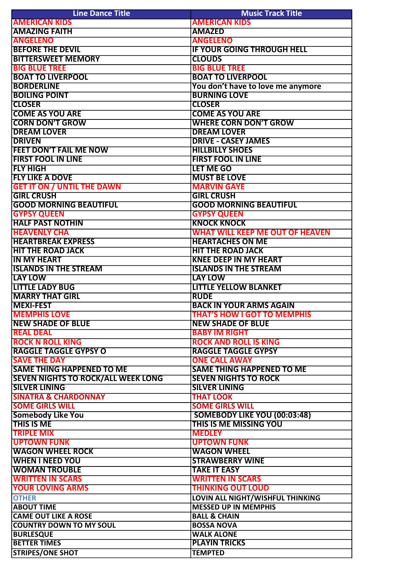| <b>Line Dance Title</b>                   | <b>Music Track Title</b>               |
|-------------------------------------------|----------------------------------------|
| <b>AMERICAN KIDS</b>                      | <b>AMERICAN KIDS</b>                   |
| <b>AMAZING FAITH</b>                      | <b>AMAZED</b>                          |
| <b>ANGELENO</b>                           | <b>ANGELENO</b>                        |
| <b>BEFORE THE DEVIL</b>                   | <b>IF YOUR GOING THROUGH HELL</b>      |
| <b>BITTERSWEET MEMORY</b>                 | <b>CLOUDS</b>                          |
| <b>BIG BLUE TREE</b>                      | <b>BIG BLUE TREE</b>                   |
| <b>BOAT TO LIVERPOOL</b>                  | <b>BOAT TO LIVERPOOL</b>               |
| <b>BORDERLINE</b>                         | You don't have to love me anymore      |
| <b>BOILING POINT</b>                      | <b>BURNING LOVE</b>                    |
| <b>CLOSER</b>                             | <b>CLOSER</b>                          |
| <b>COME AS YOU ARE</b>                    | <b>COME AS YOU ARE</b>                 |
| <b>CORN DON'T GROW</b>                    | <b>WHERE CORN DON'T GROW</b>           |
| <b>DREAM LOVER</b>                        | <b>DREAM LOVER</b>                     |
| <b>DRIVEN</b>                             | <b>DRIVE - CASEY JAMES</b>             |
| <b>FEET DON'T FAIL ME NOW</b>             | <b>HILLBILLY SHOES</b>                 |
| <b>FIRST FOOL IN LINE</b>                 | <b>FIRST FOOL IN LINE</b>              |
| <b>FLY HIGH</b>                           | <b>LET ME GO</b>                       |
| <b>FLY LIKE A DOVE</b>                    | <b>MUST BE LOVE</b>                    |
| <b>GET IT ON / UNTIL THE DAWN</b>         | <b>MARVIN GAYE</b>                     |
| <b>GIRL CRUSH</b>                         | <b>GIRL CRUSH</b>                      |
| <b>GOOD MORNING BEAUTIFUL</b>             | <b>GOOD MORNING BEAUTIFUL</b>          |
| <b>GYPSY QUEEN</b>                        | <b>GYPSY QUEEN</b>                     |
| <b>HALF PAST NOTHIN</b>                   | <b>KNOCK KNOCK</b>                     |
|                                           |                                        |
| <b>HEAVENLY CHA</b>                       | <b>WHAT WILL KEEP ME OUT OF HEAVEN</b> |
| <b>HEARTBREAK EXPRESS</b>                 | <b>HEARTACHES ON ME</b>                |
| <b>HIT THE ROAD JACK</b>                  | <b>HIT THE ROAD JACK</b>               |
| <b>IN MY HEART</b>                        | <b>KNEE DEEP IN MY HEART</b>           |
| <b>ISLANDS IN THE STREAM</b>              | <b>ISLANDS IN THE STREAM</b>           |
| <b>LAY LOW</b>                            | <b>LAY LOW</b>                         |
| <b>LITTLE LADY BUG</b>                    | <b>LITTLE YELLOW BLANKET</b>           |
| <b>MARRY THAT GIRL</b>                    | <b>RUDE</b>                            |
| <b>MEXI-FEST</b>                          | <b>BACK IN YOUR ARMS AGAIN</b>         |
| <b>MEMPHIS LOVE</b>                       | <b>THAT'S HOW I GOT TO MEMPHIS</b>     |
| <b>NEW SHADE OF BLUE</b>                  | <b>NEW SHADE OF BLUE</b>               |
| <b>REAL DEAL</b>                          | <b>BABY IM RIGHT</b>                   |
| <b>ROCK N ROLL KING</b>                   | <b>ROCK AND ROLL IS KING</b>           |
| <b>RAGGLE TAGGLE GYPSY O</b>              | <b>RAGGLE TAGGLE GYPSY</b>             |
| <b>SAVE THE DAY</b>                       | <b>ONE CALL AWAY</b>                   |
| <b>SAME THING HAPPENED TO ME</b>          | <b>SAME THING HAPPENED TO ME</b>       |
| <b>SEVEN NIGHTS TO ROCK/ALL WEEK LONG</b> | <b>SEVEN NIGHTS TO ROCK</b>            |
| <b>SILVER LINING</b>                      | <b>SILVER LINING</b>                   |
| <b>SINATRA &amp; CHARDONNAY</b>           | <b>THAT LOOK</b>                       |
| <b>SOME GIRLS WILL</b>                    | <b>SOME GIRLS WILL</b>                 |
| <b>Somebody Like You</b>                  | <b>SOMEBODY LIKE YOU (00:03:48)</b>    |
| <b>THIS IS ME</b>                         | <b>THIS IS ME MISSING YOU</b>          |
| <b>TRIPLE MIX</b>                         | <b>MEDLEY</b>                          |
| <b>UPTOWN FUNK</b>                        | <b>UPTOWN FUNK</b>                     |
| <b>WAGON WHEEL ROCK</b>                   | <b>WAGON WHEEL</b>                     |
| <b>WHEN I NEED YOU</b>                    | <b>STRAWBERRY WINE</b>                 |
| <b>WOMAN TROUBLE</b>                      | <b>TAKE IT EASY</b>                    |
| <b>WRITTEN IN SCARS</b>                   | <b>WRITTEN IN SCARS</b>                |
| <b>YOUR LOVING ARMS</b>                   | <b>THINKING OUT LOUD</b>               |
| <b>OTHER</b>                              | LOVIN ALL NIGHT/WISHFUL THINKING       |
| <b>ABOUT TIME</b>                         | <b>MESSED UP IN MEMPHIS</b>            |
| <b>CAME OUT LIKE A ROSE</b>               | <b>BALL &amp; CHAIN</b>                |
| <b>COUNTRY DOWN TO MY SOUL</b>            | <b>BOSSA NOVA</b>                      |
| <b>BURLESQUE</b>                          | <b>WALK ALONE</b>                      |
| <b>BETTER TIMES</b>                       | <b>PLAYIN TRICKS</b>                   |
| <b>STRIPES/ONE SHOT</b>                   | <b>TEMPTED</b>                         |
|                                           |                                        |